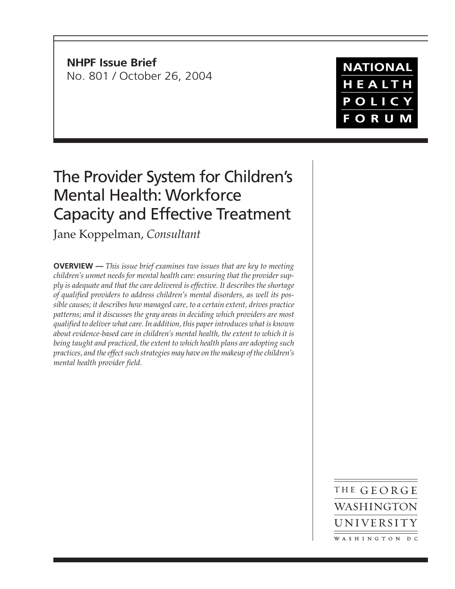**NHPF Issue Brief** No. 801 / October 26, 2004

## **NATIONAL** HEALTH POLICY **FORUM**

# The Provider System for Children's Mental Health: Workforce Capacity and Effective Treatment

Jane Koppelman, *Consultant*

**OVERVIEW —** *This issue brief examines two issues that are key to meeting children's unmet needs for mental health care: ensuring that the provider supply is adequate and that the care delivered is effective. It describes the shortage of qualified providers to address children's mental disorders, as well its possible causes; it describes how managed care, to a certain extent, drives practice patterns; and it discusses the gray areas in deciding which providers are most qualified to deliver what care. In addition, this paper introduces what is known about evidence-based care in children's mental health, the extent to which it is being taught and practiced, the extent to which health plans are adopting such practices, and the effect such strategies may have on the makeup of the children's mental health provider field.*

> THE GEORGE WASHINGTON UNIVERSITY WASHINGTON DC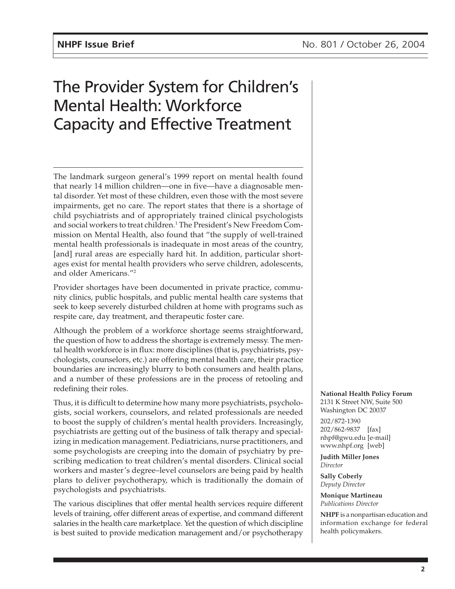# The Provider System for Children's Mental Health: Workforce Capacity and Effective Treatment

The landmark surgeon general's 1999 report on mental health found that nearly 14 million children—one in five—have a diagnosable mental disorder. Yet most of these children, even those with the most severe impairments, get no care. The report states that there is a shortage of child psychiatrists and of appropriately trained clinical psychologists and social workers to treat children.<sup>1</sup> The President's New Freedom Commission on Mental Health, also found that "the supply of well-trained mental health professionals is inadequate in most areas of the country, [and] rural areas are especially hard hit. In addition, particular shortages exist for mental health providers who serve children, adolescents, and older Americans."2

Provider shortages have been documented in private practice, community clinics, public hospitals, and public mental health care systems that seek to keep severely disturbed children at home with programs such as respite care, day treatment, and therapeutic foster care.

Although the problem of a workforce shortage seems straightforward, the question of how to address the shortage is extremely messy. The mental health workforce is in flux: more disciplines (that is, psychiatrists, psychologists, counselors, etc.) are offering mental health care, their practice boundaries are increasingly blurry to both consumers and health plans, and a number of these professions are in the process of retooling and redefining their roles.

Thus, it is difficult to determine how many more psychiatrists, psychologists, social workers, counselors, and related professionals are needed to boost the supply of children's mental health providers. Increasingly, psychiatrists are getting out of the business of talk therapy and specializing in medication management. Pediatricians, nurse practitioners, and some psychologists are creeping into the domain of psychiatry by prescribing medication to treat children's mental disorders. Clinical social workers and master's degree–level counselors are being paid by health plans to deliver psychotherapy, which is traditionally the domain of psychologists and psychiatrists.

The various disciplines that offer mental health services require different levels of training, offer different areas of expertise, and command different salaries in the health care marketplace. Yet the question of which discipline is best suited to provide medication management and/or psychotherapy **National Health Policy Forum** 2131 K Street NW, Suite 500 Washington DC 20037

202/872-1390 202/862-9837 [fax] nhpf@gwu.edu [e-mail] www.nhpf.org [web]

**Judith Miller Jones** *Director*

**Sally Coberly** *Deputy Director*

**Monique Martineau** *Publications Director*

**NHPF** is a nonpartisan education and information exchange for federal health policymakers.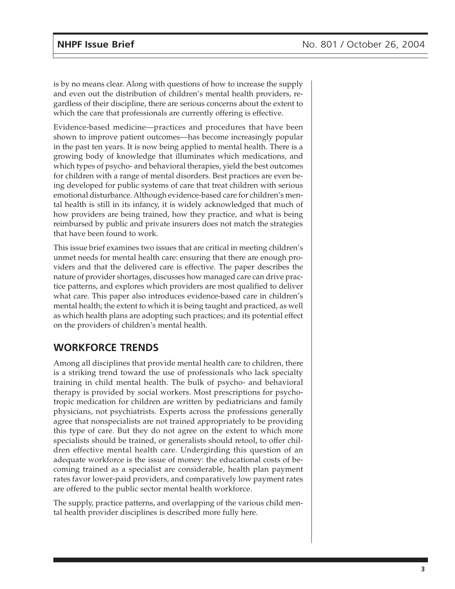is by no means clear. Along with questions of how to increase the supply and even out the distribution of children's mental health providers, regardless of their discipline, there are serious concerns about the extent to which the care that professionals are currently offering is effective.

Evidence-based medicine—practices and procedures that have been shown to improve patient outcomes—has become increasingly popular in the past ten years. It is now being applied to mental health. There is a growing body of knowledge that illuminates which medications, and which types of psycho- and behavioral therapies, yield the best outcomes for children with a range of mental disorders. Best practices are even being developed for public systems of care that treat children with serious emotional disturbance. Although evidence-based care for children's mental health is still in its infancy, it is widely acknowledged that much of how providers are being trained, how they practice, and what is being reimbursed by public and private insurers does not match the strategies that have been found to work.

This issue brief examines two issues that are critical in meeting children's unmet needs for mental health care: ensuring that there are enough providers and that the delivered care is effective. The paper describes the nature of provider shortages, discusses how managed care can drive practice patterns, and explores which providers are most qualified to deliver what care. This paper also introduces evidence-based care in children's mental health; the extent to which it is being taught and practiced, as well as which health plans are adopting such practices; and its potential effect on the providers of children's mental health.

## **WORKFORCE TRENDS**

Among all disciplines that provide mental health care to children, there is a striking trend toward the use of professionals who lack specialty training in child mental health. The bulk of psycho- and behavioral therapy is provided by social workers. Most prescriptions for psychotropic medication for children are written by pediatricians and family physicians, not psychiatrists. Experts across the professions generally agree that nonspecialists are not trained appropriately to be providing this type of care. But they do not agree on the extent to which more specialists should be trained, or generalists should retool, to offer children effective mental health care. Undergirding this question of an adequate workforce is the issue of money: the educational costs of becoming trained as a specialist are considerable, health plan payment rates favor lower-paid providers, and comparatively low payment rates are offered to the public sector mental health workforce.

The supply, practice patterns, and overlapping of the various child mental health provider disciplines is described more fully here.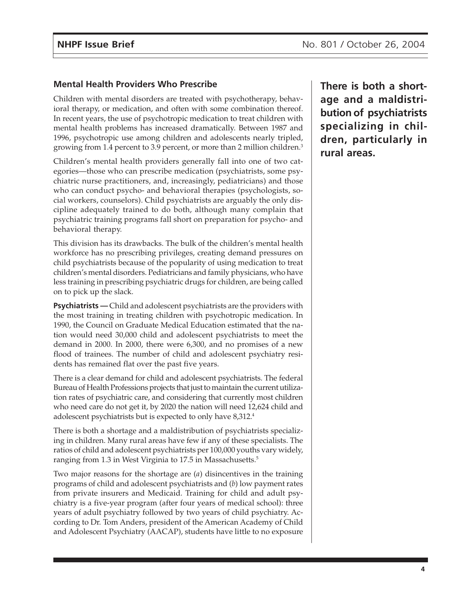#### **Mental Health Providers Who Prescribe**

Children with mental disorders are treated with psychotherapy, behavioral therapy, or medication, and often with some combination thereof. In recent years, the use of psychotropic medication to treat children with mental health problems has increased dramatically. Between 1987 and 1996, psychotropic use among children and adolescents nearly tripled, growing from 1.4 percent to 3.9 percent, or more than 2 million children.<sup>3</sup>

Children's mental health providers generally fall into one of two categories—those who can prescribe medication (psychiatrists, some psychiatric nurse practitioners, and, increasingly, pediatricians) and those who can conduct psycho- and behavioral therapies (psychologists, social workers, counselors). Child psychiatrists are arguably the only discipline adequately trained to do both, although many complain that psychiatric training programs fall short on preparation for psycho- and behavioral therapy.

This division has its drawbacks. The bulk of the children's mental health workforce has no prescribing privileges, creating demand pressures on child psychiatrists because of the popularity of using medication to treat children's mental disorders. Pediatricians and family physicians, who have less training in prescribing psychiatric drugs for children, are being called on to pick up the slack.

**Psychiatrists —** Child and adolescent psychiatrists are the providers with the most training in treating children with psychotropic medication. In 1990, the Council on Graduate Medical Education estimated that the nation would need 30,000 child and adolescent psychiatrists to meet the demand in 2000. In 2000, there were 6,300, and no promises of a new flood of trainees. The number of child and adolescent psychiatry residents has remained flat over the past five years.

There is a clear demand for child and adolescent psychiatrists. The federal Bureau of Health Professions projects that just to maintain the current utilization rates of psychiatric care, and considering that currently most children who need care do not get it, by 2020 the nation will need 12,624 child and adolescent psychiatrists but is expected to only have 8,312.4

There is both a shortage and a maldistribution of psychiatrists specializing in children. Many rural areas have few if any of these specialists. The ratios of child and adolescent psychiatrists per 100,000 youths vary widely, ranging from 1.3 in West Virginia to 17.5 in Massachusetts.<sup>5</sup>

Two major reasons for the shortage are (*a*) disincentives in the training programs of child and adolescent psychiatrists and (*b*) low payment rates from private insurers and Medicaid. Training for child and adult psychiatry is a five-year program (after four years of medical school): three years of adult psychiatry followed by two years of child psychiatry. According to Dr. Tom Anders, president of the American Academy of Child and Adolescent Psychiatry (AACAP), students have little to no exposure

**There is both a shortage and a maldistribution of psychiatrists specializing in children, particularly in rural areas.**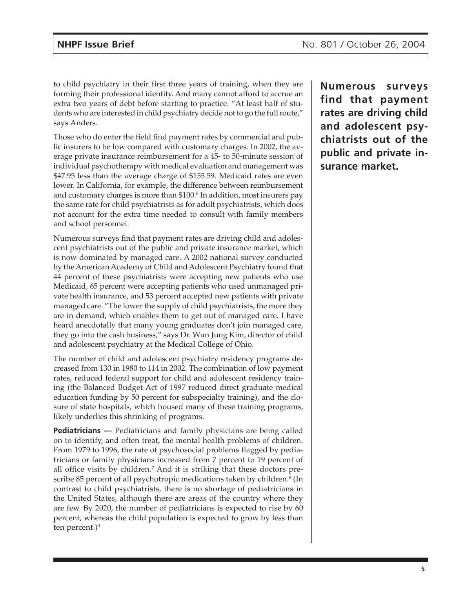to child psychiatry in their first three years of training, when they are forming their professional identity. And many cannot afford to accrue an extra two years of debt before starting to practice. "At least half of students who are interested in child psychiatry decide not to go the full route," says Anders.

Those who do enter the field find payment rates by commercial and public insurers to be low compared with customary charges. In 2002, the average private insurance reimbursement for a 45- to 50-minute session of individual psychotherapy with medical evaluation and management was \$47.95 less than the average charge of \$155.59. Medicaid rates are even lower. In California, for example, the difference between reimbursement and customary charges is more than \$100.<sup>6</sup> In addition*,* most insurers pay the same rate for child psychiatrists as for adult psychiatrists, which does not account for the extra time needed to consult with family members and school personnel.

Numerous surveys find that payment rates are driving child and adolescent psychiatrists out of the public and private insurance market, which is now dominated by managed care. A 2002 national survey conducted by the American Academy of Child and Adolescent Psychiatry found that 44 percent of these psychiatrists were accepting new patients who use Medicaid, 65 percent were accepting patients who used unmanaged private health insurance, and 53 percent accepted new patients with private managed care. "The lower the supply of child psychiatrists, the more they are in demand, which enables them to get out of managed care. I have heard anecdotally that many young graduates don't join managed care, they go into the cash business," says Dr. Wun Jung Kim, director of child and adolescent psychiatry at the Medical College of Ohio.

The number of child and adolescent psychiatry residency programs decreased from 130 in 1980 to 114 in 2002. The combination of low payment rates, reduced federal support for child and adolescent residency training (the Balanced Budget Act of 1997 reduced direct graduate medical education funding by 50 percent for subspecialty training), and the closure of state hospitals, which housed many of these training programs, likely underlies this shrinking of programs.

**Pediatricians** — Pediatricians and family physicians are being called on to identify, and often treat, the mental health problems of children. From 1979 to 1996, the rate of psychosocial problems flagged by pediatricians or family physicians increased from 7 percent to 19 percent of all office visits by children.7 And it is striking that these doctors prescribe 85 percent of all psychotropic medications taken by children.<sup>8</sup> (In contrast to child psychiatrists, there is no shortage of pediatricians in the United States, although there are areas of the country where they are few. By 2020, the number of pediatricians is expected to rise by 60 percent, whereas the child population is expected to grow by less than ten percent.)<sup>9</sup>

**Numerous surveys find that payment rates are driving child and adolescent psychiatrists out of the public and private insurance market.**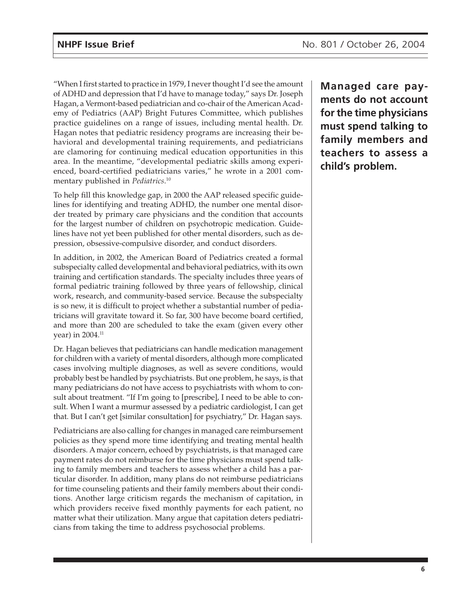"When I first started to practice in 1979, I never thought I'd see the amount of ADHD and depression that I'd have to manage today," says Dr. Joseph Hagan, a Vermont-based pediatrician and co-chair of the American Academy of Pediatrics (AAP) Bright Futures Committee, which publishes practice guidelines on a range of issues, including mental health. Dr. Hagan notes that pediatric residency programs are increasing their behavioral and developmental training requirements, and pediatricians are clamoring for continuing medical education opportunities in this area. In the meantime, "developmental pediatric skills among experienced, board-certified pediatricians varies," he wrote in a 2001 commentary published in *Pediatrics*. 10

To help fill this knowledge gap, in 2000 the AAP released specific guidelines for identifying and treating ADHD, the number one mental disorder treated by primary care physicians and the condition that accounts for the largest number of children on psychotropic medication. Guidelines have not yet been published for other mental disorders, such as depression, obsessive-compulsive disorder, and conduct disorders.

In addition, in 2002, the American Board of Pediatrics created a formal subspecialty called developmental and behavioral pediatrics, with its own training and certification standards. The specialty includes three years of formal pediatric training followed by three years of fellowship, clinical work, research, and community-based service. Because the subspecialty is so new, it is difficult to project whether a substantial number of pediatricians will gravitate toward it. So far, 300 have become board certified, and more than 200 are scheduled to take the exam (given every other year) in 2004.<sup>11</sup>

Dr. Hagan believes that pediatricians can handle medication management for children with a variety of mental disorders, although more complicated cases involving multiple diagnoses, as well as severe conditions, would probably best be handled by psychiatrists. But one problem, he says, is that many pediatricians do not have access to psychiatrists with whom to consult about treatment. "If I'm going to [prescribe], I need to be able to consult. When I want a murmur assessed by a pediatric cardiologist, I can get that. But I can't get [similar consultation] for psychiatry," Dr. Hagan says.

Pediatricians are also calling for changes in managed care reimbursement policies as they spend more time identifying and treating mental health disorders. A major concern, echoed by psychiatrists, is that managed care payment rates do not reimburse for the time physicians must spend talking to family members and teachers to assess whether a child has a particular disorder. In addition, many plans do not reimburse pediatricians for time counseling patients and their family members about their conditions. Another large criticism regards the mechanism of capitation, in which providers receive fixed monthly payments for each patient, no matter what their utilization. Many argue that capitation deters pediatricians from taking the time to address psychosocial problems.

**Managed care payments do not account for the time physicians must spend talking to family members and teachers to assess a child's problem.**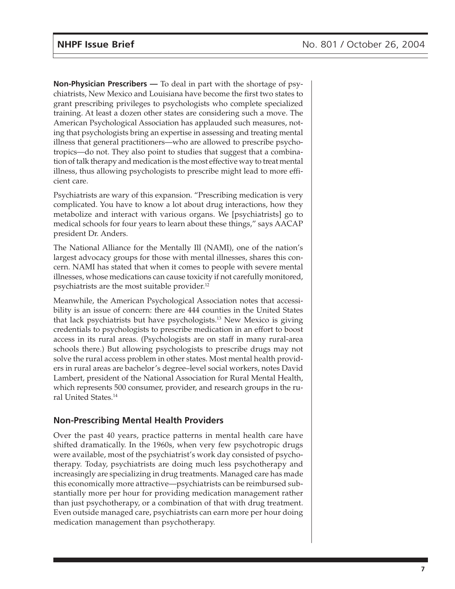**Non-Physician Prescribers —** To deal in part with the shortage of psychiatrists, New Mexico and Louisiana have become the first two states to grant prescribing privileges to psychologists who complete specialized training. At least a dozen other states are considering such a move. The American Psychological Association has applauded such measures, noting that psychologists bring an expertise in assessing and treating mental illness that general practitioners—who are allowed to prescribe psychotropics—do not. They also point to studies that suggest that a combination of talk therapy and medication is the most effective way to treat mental illness, thus allowing psychologists to prescribe might lead to more efficient care.

Psychiatrists are wary of this expansion. "Prescribing medication is very complicated. You have to know a lot about drug interactions, how they metabolize and interact with various organs. We [psychiatrists] go to medical schools for four years to learn about these things," says AACAP president Dr. Anders.

The National Alliance for the Mentally Ill (NAMI), one of the nation's largest advocacy groups for those with mental illnesses, shares this concern. NAMI has stated that when it comes to people with severe mental illnesses, whose medications can cause toxicity if not carefully monitored, psychiatrists are the most suitable provider.12

Meanwhile, the American Psychological Association notes that accessibility is an issue of concern: there are 444 counties in the United States that lack psychiatrists but have psychologists.13 New Mexico is giving credentials to psychologists to prescribe medication in an effort to boost access in its rural areas. (Psychologists are on staff in many rural-area schools there.) But allowing psychologists to prescribe drugs may not solve the rural access problem in other states. Most mental health providers in rural areas are bachelor's degree–level social workers, notes David Lambert, president of the National Association for Rural Mental Health, which represents 500 consumer, provider, and research groups in the rural United States.14

#### **Non-Prescribing Mental Health Providers**

Over the past 40 years, practice patterns in mental health care have shifted dramatically. In the 1960s, when very few psychotropic drugs were available, most of the psychiatrist's work day consisted of psychotherapy. Today, psychiatrists are doing much less psychotherapy and increasingly are specializing in drug treatments. Managed care has made this economically more attractive—psychiatrists can be reimbursed substantially more per hour for providing medication management rather than just psychotherapy, or a combination of that with drug treatment. Even outside managed care, psychiatrists can earn more per hour doing medication management than psychotherapy.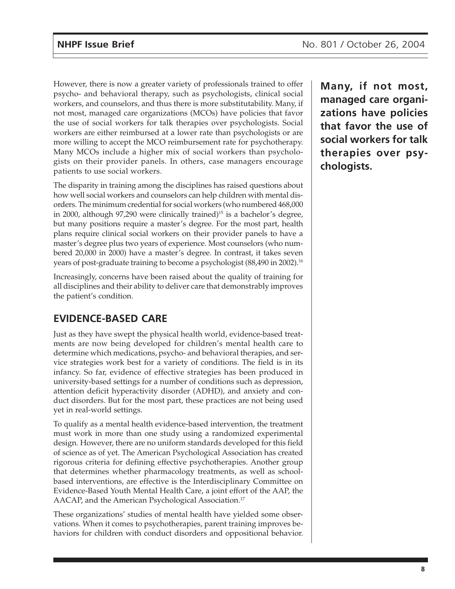However, there is now a greater variety of professionals trained to offer psycho- and behavioral therapy, such as psychologists, clinical social workers, and counselors, and thus there is more substitutability. Many, if not most, managed care organizations (MCOs) have policies that favor the use of social workers for talk therapies over psychologists. Social workers are either reimbursed at a lower rate than psychologists or are more willing to accept the MCO reimbursement rate for psychotherapy. Many MCOs include a higher mix of social workers than psychologists on their provider panels. In others, case managers encourage patients to use social workers.

The disparity in training among the disciplines has raised questions about how well social workers and counselors can help children with mental disorders. The minimum credential for social workers (who numbered 468,000 in 2000, although 97,290 were clinically trained)<sup>15</sup> is a bachelor's degree, but many positions require a master's degree. For the most part, health plans require clinical social workers on their provider panels to have a master's degree plus two years of experience. Most counselors (who numbered 20,000 in 2000) have a master's degree. In contrast, it takes seven years of post-graduate training to become a psychologist (88,490 in 2002).16

Increasingly, concerns have been raised about the quality of training for all disciplines and their ability to deliver care that demonstrably improves the patient's condition.

## **EVIDENCE-BASED CARE**

Just as they have swept the physical health world, evidence-based treatments are now being developed for children's mental health care to determine which medications, psycho- and behavioral therapies, and service strategies work best for a variety of conditions. The field is in its infancy. So far, evidence of effective strategies has been produced in university-based settings for a number of conditions such as depression, attention deficit hyperactivity disorder (ADHD), and anxiety and conduct disorders. But for the most part, these practices are not being used yet in real-world settings.

To qualify as a mental health evidence-based intervention, the treatment must work in more than one study using a randomized experimental design. However, there are no uniform standards developed for this field of science as of yet. The American Psychological Association has created rigorous criteria for defining effective psychotherapies. Another group that determines whether pharmacology treatments, as well as schoolbased interventions, are effective is the Interdisciplinary Committee on Evidence-Based Youth Mental Health Care, a joint effort of the AAP, the AACAP, and the American Psychological Association.<sup>17</sup>

These organizations' studies of mental health have yielded some observations. When it comes to psychotherapies, parent training improves behaviors for children with conduct disorders and oppositional behavior. **Many, if not most, managed care organizations have policies that favor the use of social workers for talk therapies over psychologists.**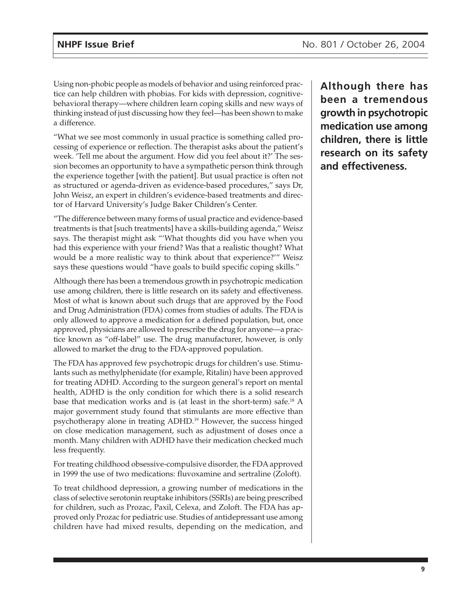Using non-phobic people as models of behavior and using reinforced practice can help children with phobias. For kids with depression, cognitivebehavioral therapy—where children learn coping skills and new ways of thinking instead of just discussing how they feel—has been shown to make a difference.

"What we see most commonly in usual practice is something called processing of experience or reflection. The therapist asks about the patient's week. 'Tell me about the argument. How did you feel about it?' The session becomes an opportunity to have a sympathetic person think through the experience together [with the patient]. But usual practice is often not as structured or agenda-driven as evidence-based procedures," says Dr, John Weisz, an expert in children's evidence-based treatments and director of Harvard University's Judge Baker Children's Center.

"The difference between many forms of usual practice and evidence-based treatments is that [such treatments] have a skills-building agenda," Weisz says. The therapist might ask "'What thoughts did you have when you had this experience with your friend? Was that a realistic thought? What would be a more realistic way to think about that experience?'" Weisz says these questions would "have goals to build specific coping skills."

Although there has been a tremendous growth in psychotropic medication use among children, there is little research on its safety and effectiveness. Most of what is known about such drugs that are approved by the Food and Drug Administration (FDA) comes from studies of adults. The FDA is only allowed to approve a medication for a defined population, but, once approved, physicians are allowed to prescribe the drug for anyone—a practice known as "off-label" use. The drug manufacturer, however, is only allowed to market the drug to the FDA-approved population.

The FDA has approved few psychotropic drugs for children's use. Stimulants such as methylphenidate (for example, Ritalin) have been approved for treating ADHD. According to the surgeon general's report on mental health, ADHD is the only condition for which there is a solid research base that medication works and is (at least in the short-term) safe.18 A major government study found that stimulants are more effective than psychotherapy alone in treating ADHD.19 However, the success hinged on close medication management, such as adjustment of doses once a month. Many children with ADHD have their medication checked much less frequently.

For treating childhood obsessive-compulsive disorder, the FDA approved in 1999 the use of two medications: fluvoxamine and sertraline (Zoloft).

To treat childhood depression, a growing number of medications in the class of selective serotonin reuptake inhibitors (SSRIs) are being prescribed for children, such as Prozac, Paxil, Celexa, and Zoloft. The FDA has approved only Prozac for pediatric use. Studies of antidepressant use among children have had mixed results, depending on the medication, and **Although there has been a tremendous growth in psychotropic medication use among children, there is little research on its safety and effectiveness.**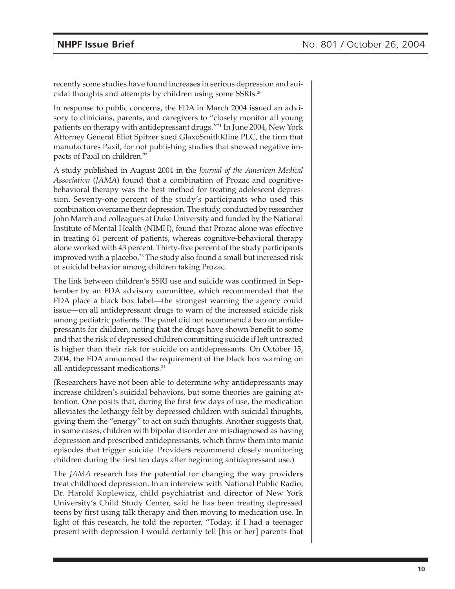recently some studies have found increases in serious depression and suicidal thoughts and attempts by children using some SSRIs.20

In response to public concerns, the FDA in March 2004 issued an advisory to clinicians, parents, and caregivers to "closely monitor all young patients on therapy with antidepressant drugs."21 In June 2004, New York Attorney General Eliot Spitzer sued GlaxoSmithKline PLC, the firm that manufactures Paxil, for not publishing studies that showed negative impacts of Paxil on children.<sup>22</sup>

A study published in August 2004 in the *Journal of the American Medical Association* (*JAMA*) found that a combination of Prozac and cognitivebehavioral therapy was the best method for treating adolescent depression. Seventy-one percent of the study's participants who used this combination overcame their depression. The study, conducted by researcher John March and colleagues at Duke University and funded by the National Institute of Mental Health (NIMH), found that Prozac alone was effective in treating 61 percent of patients, whereas cognitive-behavioral therapy alone worked with 43 percent. Thirty-five percent of the study participants improved with a placebo.<sup>23</sup> The study also found a small but increased risk of suicidal behavior among children taking Prozac.

The link between children's SSRI use and suicide was confirmed in September by an FDA advisory committee, which recommended that the FDA place a black box label—the strongest warning the agency could issue—on all antidepressant drugs to warn of the increased suicide risk among pediatric patients. The panel did not recommend a ban on antidepressants for children, noting that the drugs have shown benefit to some and that the risk of depressed children committing suicide if left untreated is higher than their risk for suicide on antidepressants. On October 15, 2004, the FDA announced the requirement of the black box warning on all antidepressant medications.<sup>24</sup>

(Researchers have not been able to determine why antidepressants may increase children's suicidal behaviors, but some theories are gaining attention. One posits that, during the first few days of use, the medication alleviates the lethargy felt by depressed children with suicidal thoughts, giving them the "energy" to act on such thoughts. Another suggests that, in some cases, children with bipolar disorder are misdiagnosed as having depression and prescribed antidepressants, which throw them into manic episodes that trigger suicide. Providers recommend closely monitoring children during the first ten days after beginning antidepressant use.)

The *JAMA* research has the potential for changing the way providers treat childhood depression. In an interview with National Public Radio, Dr. Harold Koplewicz, child psychiatrist and director of New York University's Child Study Center, said he has been treating depressed teens by first using talk therapy and then moving to medication use. In light of this research, he told the reporter, "Today, if I had a teenager present with depression I would certainly tell [his or her] parents that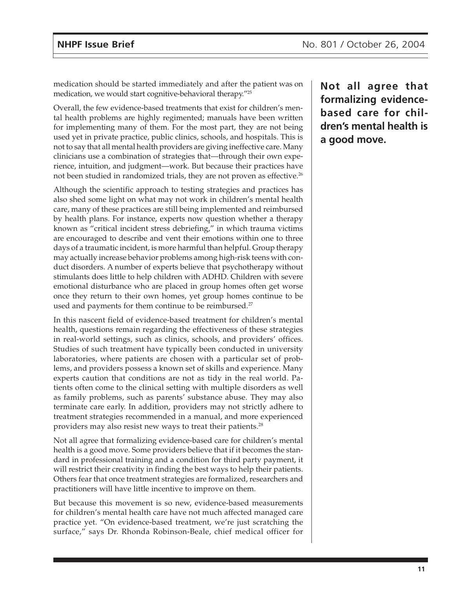medication should be started immediately and after the patient was on medication, we would start cognitive-behavioral therapy."25

Overall, the few evidence-based treatments that exist for children's mental health problems are highly regimented; manuals have been written for implementing many of them. For the most part, they are not being used yet in private practice, public clinics, schools, and hospitals. This is not to say that all mental health providers are giving ineffective care. Many clinicians use a combination of strategies that—through their own experience, intuition, and judgment—work. But because their practices have not been studied in randomized trials, they are not proven as effective.<sup>26</sup>

Although the scientific approach to testing strategies and practices has also shed some light on what may not work in children's mental health care, many of these practices are still being implemented and reimbursed by health plans. For instance, experts now question whether a therapy known as "critical incident stress debriefing," in which trauma victims are encouraged to describe and vent their emotions within one to three days of a traumatic incident, is more harmful than helpful. Group therapy may actually increase behavior problems among high-risk teens with conduct disorders. A number of experts believe that psychotherapy without stimulants does little to help children with ADHD. Children with severe emotional disturbance who are placed in group homes often get worse once they return to their own homes, yet group homes continue to be used and payments for them continue to be reimbursed.<sup>27</sup>

In this nascent field of evidence-based treatment for children's mental health, questions remain regarding the effectiveness of these strategies in real-world settings, such as clinics, schools, and providers' offices. Studies of such treatment have typically been conducted in university laboratories, where patients are chosen with a particular set of problems, and providers possess a known set of skills and experience. Many experts caution that conditions are not as tidy in the real world. Patients often come to the clinical setting with multiple disorders as well as family problems, such as parents' substance abuse. They may also terminate care early. In addition, providers may not strictly adhere to treatment strategies recommended in a manual, and more experienced providers may also resist new ways to treat their patients.28

Not all agree that formalizing evidence-based care for children's mental health is a good move. Some providers believe that if it becomes the standard in professional training and a condition for third party payment, it will restrict their creativity in finding the best ways to help their patients. Others fear that once treatment strategies are formalized, researchers and practitioners will have little incentive to improve on them.

But because this movement is so new, evidence-based measurements for children's mental health care have not much affected managed care practice yet. "On evidence-based treatment, we're just scratching the surface," says Dr. Rhonda Robinson-Beale, chief medical officer for

**Not all agree that formalizing evidencebased care for children's mental health is a good move.**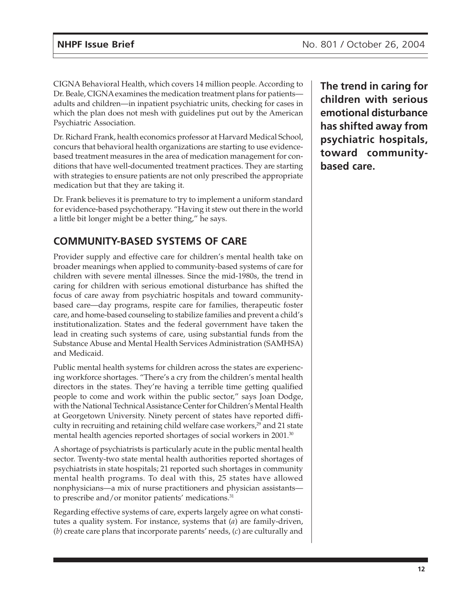CIGNA Behavioral Health, which covers 14 million people. According to Dr. Beale, CIGNA examines the medication treatment plans for patients adults and children—in inpatient psychiatric units, checking for cases in which the plan does not mesh with guidelines put out by the American Psychiatric Association.

Dr. Richard Frank, health economics professor at Harvard Medical School, concurs that behavioral health organizations are starting to use evidencebased treatment measures in the area of medication management for conditions that have well-documented treatment practices. They are starting with strategies to ensure patients are not only prescribed the appropriate medication but that they are taking it.

Dr. Frank believes it is premature to try to implement a uniform standard for evidence-based psychotherapy. "Having it stew out there in the world a little bit longer might be a better thing," he says.

## **COMMUNITY-BASED SYSTEMS OF CARE**

Provider supply and effective care for children's mental health take on broader meanings when applied to community-based systems of care for children with severe mental illnesses. Since the mid-1980s, the trend in caring for children with serious emotional disturbance has shifted the focus of care away from psychiatric hospitals and toward communitybased care—day programs, respite care for families, therapeutic foster care, and home-based counseling to stabilize families and prevent a child's institutionalization. States and the federal government have taken the lead in creating such systems of care, using substantial funds from the Substance Abuse and Mental Health Services Administration (SAMHSA) and Medicaid.

Public mental health systems for children across the states are experiencing workforce shortages. "There's a cry from the children's mental health directors in the states. They're having a terrible time getting qualified people to come and work within the public sector," says Joan Dodge, with the National Technical Assistance Center for Children's Mental Health at Georgetown University. Ninety percent of states have reported difficulty in recruiting and retaining child welfare case workers,<sup>29</sup> and 21 state mental health agencies reported shortages of social workers in 2001.<sup>30</sup>

A shortage of psychiatrists is particularly acute in the public mental health sector. Twenty-two state mental health authorities reported shortages of psychiatrists in state hospitals; 21 reported such shortages in community mental health programs. To deal with this, 25 states have allowed nonphysicians—a mix of nurse practitioners and physician assistants to prescribe and/or monitor patients' medications.<sup>31</sup>

Regarding effective systems of care, experts largely agree on what constitutes a quality system. For instance, systems that (*a*) are family-driven, (*b*) create care plans that incorporate parents' needs, (*c*) are culturally and

**The trend in caring for children with serious emotional disturbance has shifted away from psychiatric hospitals, toward communitybased care.**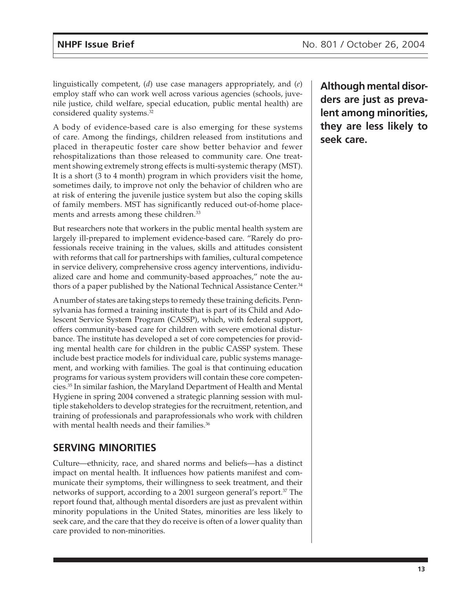linguistically competent, (*d*) use case managers appropriately, and (*e*) employ staff who can work well across various agencies (schools, juvenile justice, child welfare, special education, public mental health) are considered quality systems.32

A body of evidence-based care is also emerging for these systems of care. Among the findings, children released from institutions and placed in therapeutic foster care show better behavior and fewer rehospitalizations than those released to community care. One treatment showing extremely strong effects is multi-systemic therapy (MST). It is a short (3 to 4 month) program in which providers visit the home, sometimes daily, to improve not only the behavior of children who are at risk of entering the juvenile justice system but also the coping skills of family members. MST has significantly reduced out-of-home placements and arrests among these children.<sup>33</sup>

But researchers note that workers in the public mental health system are largely ill-prepared to implement evidence-based care. "Rarely do professionals receive training in the values, skills and attitudes consistent with reforms that call for partnerships with families, cultural competence in service delivery, comprehensive cross agency interventions, individualized care and home and community-based approaches," note the authors of a paper published by the National Technical Assistance Center.<sup>34</sup>

A number of states are taking steps to remedy these training deficits. Pennsylvania has formed a training institute that is part of its Child and Adolescent Service System Program (CASSP), which, with federal support, offers community-based care for children with severe emotional disturbance. The institute has developed a set of core competencies for providing mental health care for children in the public CASSP system. These include best practice models for individual care, public systems management, and working with families. The goal is that continuing education programs for various system providers will contain these core competencies.35 In similar fashion, the Maryland Department of Health and Mental Hygiene in spring 2004 convened a strategic planning session with multiple stakeholders to develop strategies for the recruitment, retention, and training of professionals and paraprofessionals who work with children with mental health needs and their families.<sup>36</sup>

## **SERVING MINORITIES**

Culture—ethnicity, race, and shared norms and beliefs—has a distinct impact on mental health. It influences how patients manifest and communicate their symptoms, their willingness to seek treatment, and their networks of support, according to a 2001 surgeon general's report.<sup>37</sup> The report found that, although mental disorders are just as prevalent within minority populations in the United States, minorities are less likely to seek care, and the care that they do receive is often of a lower quality than care provided to non-minorities.

**Although mental disorders are just as prevalent among minorities, they are less likely to seek care.**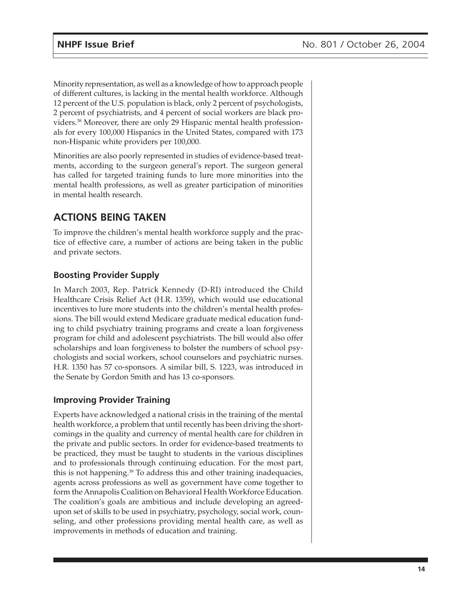Minority representation, as well as a knowledge of how to approach people of different cultures, is lacking in the mental health workforce. Although 12 percent of the U.S. population is black, only 2 percent of psychologists, 2 percent of psychiatrists, and 4 percent of social workers are black providers.38 Moreover, there are only 29 Hispanic mental health professionals for every 100,000 Hispanics in the United States, compared with 173 non-Hispanic white providers per 100,000.

Minorities are also poorly represented in studies of evidence-based treatments, according to the surgeon general's report. The surgeon general has called for targeted training funds to lure more minorities into the mental health professions, as well as greater participation of minorities in mental health research.

## **ACTIONS BEING TAKEN**

To improve the children's mental health workforce supply and the practice of effective care, a number of actions are being taken in the public and private sectors.

### **Boosting Provider Supply**

In March 2003, Rep. Patrick Kennedy (D-RI) introduced the Child Healthcare Crisis Relief Act (H.R. 1359), which would use educational incentives to lure more students into the children's mental health professions. The bill would extend Medicare graduate medical education funding to child psychiatry training programs and create a loan forgiveness program for child and adolescent psychiatrists. The bill would also offer scholarships and loan forgiveness to bolster the numbers of school psychologists and social workers, school counselors and psychiatric nurses. H.R. 1350 has 57 co-sponsors. A similar bill, S. 1223, was introduced in the Senate by Gordon Smith and has 13 co-sponsors.

#### **Improving Provider Training**

Experts have acknowledged a national crisis in the training of the mental health workforce, a problem that until recently has been driving the shortcomings in the quality and currency of mental health care for children in the private and public sectors. In order for evidence-based treatments to be practiced, they must be taught to students in the various disciplines and to professionals through continuing education. For the most part, this is not happening.<sup>39</sup> To address this and other training inadequacies, agents across professions as well as government have come together to form the Annapolis Coalition on Behavioral Health Workforce Education. The coalition's goals are ambitious and include developing an agreedupon set of skills to be used in psychiatry, psychology, social work, counseling, and other professions providing mental health care, as well as improvements in methods of education and training.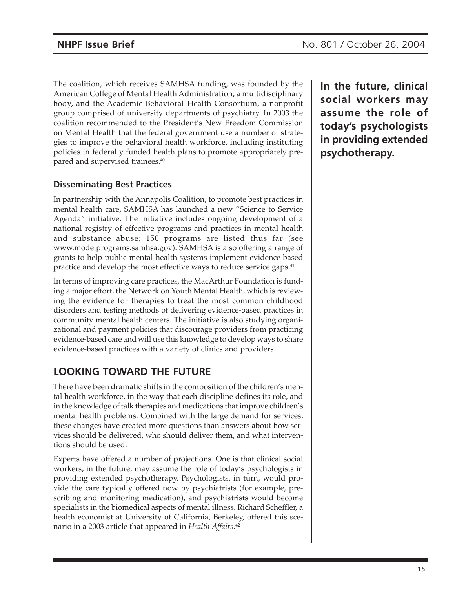The coalition, which receives SAMHSA funding, was founded by the American College of Mental Health Administration, a multidisciplinary body, and the Academic Behavioral Health Consortium, a nonprofit group comprised of university departments of psychiatry. In 2003 the coalition recommended to the President's New Freedom Commission on Mental Health that the federal government use a number of strategies to improve the behavioral health workforce, including instituting policies in federally funded health plans to promote appropriately prepared and supervised trainees.40

### **Disseminating Best Practices**

In partnership with the Annapolis Coalition, to promote best practices in mental health care, SAMHSA has launched a new "Science to Service Agenda" initiative. The initiative includes ongoing development of a national registry of effective programs and practices in mental health and substance abuse; 150 programs are listed thus far (see www.modelprograms.samhsa.gov). SAMHSA is also offering a range of grants to help public mental health systems implement evidence-based practice and develop the most effective ways to reduce service gaps.<sup>41</sup>

In terms of improving care practices, the MacArthur Foundation is funding a major effort, the Network on Youth Mental Health, which is reviewing the evidence for therapies to treat the most common childhood disorders and testing methods of delivering evidence-based practices in community mental health centers. The initiative is also studying organizational and payment policies that discourage providers from practicing evidence-based care and will use this knowledge to develop ways to share evidence-based practices with a variety of clinics and providers.

## **LOOKING TOWARD THE FUTURE**

There have been dramatic shifts in the composition of the children's mental health workforce, in the way that each discipline defines its role, and in the knowledge of talk therapies and medications that improve children's mental health problems. Combined with the large demand for services, these changes have created more questions than answers about how services should be delivered, who should deliver them, and what interventions should be used.

Experts have offered a number of projections. One is that clinical social workers, in the future, may assume the role of today's psychologists in providing extended psychotherapy. Psychologists, in turn, would provide the care typically offered now by psychiatrists (for example, prescribing and monitoring medication), and psychiatrists would become specialists in the biomedical aspects of mental illness. Richard Scheffler, a health economist at University of California, Berkeley, offered this scenario in a 2003 article that appeared in *Health Affairs*. 42

**In the future, clinical social workers may assume the role of today's psychologists in providing extended psychotherapy.**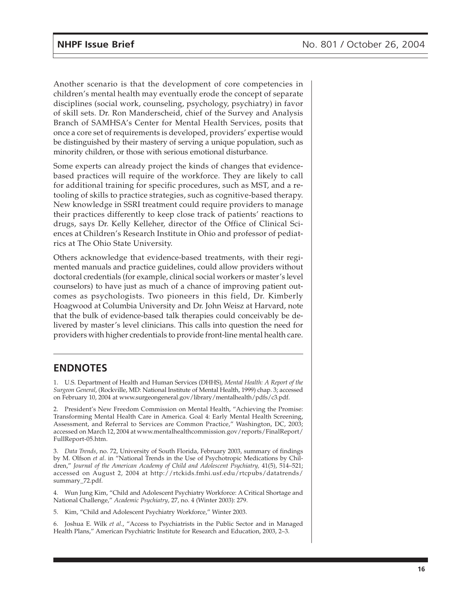Another scenario is that the development of core competencies in children's mental health may eventually erode the concept of separate disciplines (social work, counseling, psychology, psychiatry) in favor of skill sets. Dr. Ron Manderscheid, chief of the Survey and Analysis Branch of SAMHSA's Center for Mental Health Services, posits that once a core set of requirements is developed, providers' expertise would be distinguished by their mastery of serving a unique population, such as minority children, or those with serious emotional disturbance.

Some experts can already project the kinds of changes that evidencebased practices will require of the workforce. They are likely to call for additional training for specific procedures, such as MST, and a retooling of skills to practice strategies, such as cognitive-based therapy. New knowledge in SSRI treatment could require providers to manage their practices differently to keep close track of patients' reactions to drugs, says Dr. Kelly Kelleher, director of the Office of Clinical Sciences at Children's Research Institute in Ohio and professor of pediatrics at The Ohio State University.

Others acknowledge that evidence-based treatments, with their regimented manuals and practice guidelines, could allow providers without doctoral credentials (for example, clinical social workers or master's level counselors) to have just as much of a chance of improving patient outcomes as psychologists. Two pioneers in this field, Dr. Kimberly Hoagwood at Columbia University and Dr. John Weisz at Harvard, note that the bulk of evidence-based talk therapies could conceivably be delivered by master's level clinicians. This calls into question the need for providers with higher credentials to provide front-line mental health care.

#### **ENDNOTES**

1. U.S. Department of Health and Human Services (DHHS), *Mental Health: A Report of the Surgeon General*, (Rockville, MD: National Institute of Mental Health, 1999) chap. 3; accessed on February 10, 2004 at www.surgeongeneral.gov/library/mentalhealth/pdfs/c3.pdf.

2. President's New Freedom Commission on Mental Health, "Achieving the Promise: Transforming Mental Health Care in America. Goal 4: Early Mental Health Screening, Assessment, and Referral to Services are Common Practice," Washington, DC, 2003; accessed on March 12, 2004 at www.mentalhealthcommission.gov/reports/FinalReport/ FullReport-05.htm.

3. *Data Trends*, no. 72, University of South Florida, February 2003, summary of findings by M. Olfson *et al*. in "National Trends in the Use of Psychotropic Medications by Children," *Journal of the American Academy of Child and Adolescent Psychiatry,* 41(5), 514–521; accessed on August 2, 2004 at http://rtckids.fmhi.usf.edu/rtcpubs/datatrends/ summary\_72.pdf.

4. Wun Jung Kim, "Child and Adolescent Psychiatry Workforce: A Critical Shortage and National Challenge," *Academic Psychiatry*, 27, no. 4 (Winter 2003): 279.

5. Kim, "Child and Adolescent Psychiatry Workforce," Winter 2003.

6. Joshua E. Wilk *et al*., "Access to Psychiatrists in the Public Sector and in Managed Health Plans," American Psychiatric Institute for Research and Education, 2003, 2–3.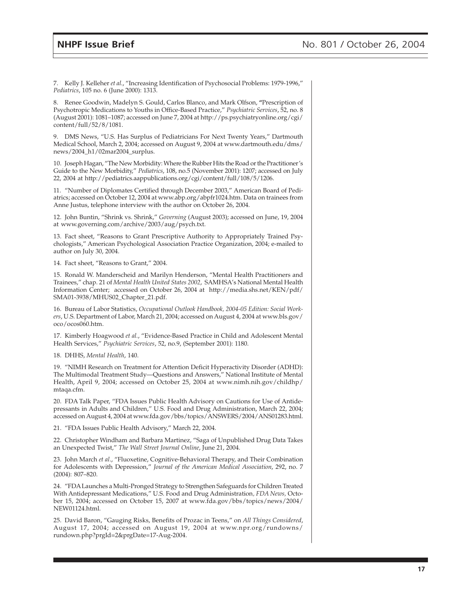7. Kelly J. Kelleher *et al*., "Increasing Identification of Psychosocial Problems: 1979-1996," *Pediatrics*, 105 no. 6 (June 2000): 1313.

8. Renee Goodwin, Madelyn S. Gould, Carlos Blanco, and Mark Olfson, **"**Prescription of Psychotropic Medications to Youths in Office-Based Practice," *Psychiatric Services*, 52, no. 8 (August 2001): 1081–1087; accessed on June 7, 2004 at http://ps.psychiatryonline.org/cgi/ content/full/52/8/1081.

9. DMS News, "U.S. Has Surplus of Pediatricians For Next Twenty Years," Dartmouth Medical School, March 2, 2004; accessed on August 9, 2004 at www.dartmouth.edu/dms/ news/2004\_h1/02mar2004\_surplus.

10. Joseph Hagan, "The New Morbidity: Where the Rubber Hits the Road or the Practitioner's Guide to the New Morbidity," *Pediatrics*, 108, no.5 (November 2001): 1207; accessed on July 22, 2004 at http://pediatrics.aappublications.org/cgi/content/full/108/5/1206.

11. "Number of Diplomates Certified through December 2003," American Board of Pediatrics; accessed on October 12, 2004 at www.abp.org/abpfr1024.htm. Data on trainees from Anne Justus, telephone interview with the author on October 26, 2004.

12. John Buntin, "Shrink vs. Shrink," *Governing* (August 2003); accessed on June, 19, 2004 at www.governing.com/archive/2003/aug/psych.txt.

13. Fact sheet, "Reasons to Grant Prescriptive Authority to Appropriately Trained Psychologists," American Psychological Association Practice Organization, 2004; e-mailed to author on July 30, 2004.

14. Fact sheet, "Reasons to Grant," 2004.

15. Ronald W. Manderscheid and Marilyn Henderson, "Mental Health Practitioners and Trainees," chap. 21 of *Mental Health United States 2002*, SAMHSA's National Mental Health Information Center; accessed on October 26, 2004 at http://media.shs.net/KEN/pdf/ SMA01-3938/MHUS02\_Chapter\_21.pdf.

16. Bureau of Labor Statistics, *Occupational Outlook Handbook, 2004-05 Edition: Social Workers*, U.S. Department of Labor, March 21, 2004; accessed on August 4, 2004 at www.bls.gov/ oco/ocos060.htm.

17. Kimberly Hoagwood *et al.*, "Evidence-Based Practice in Child and Adolescent Mental Health Services," *Psychiatric Services*, 52, no.9, (September 2001): 1180.

18. DHHS, *Mental Health*, 140.

19. "NIMH Research on Treatment for Attention Deficit Hyperactivity Disorder (ADHD): The Multimodal Treatment Study—Questions and Answers," National Institute of Mental Health, April 9, 2004; accessed on October 25, 2004 at www.nimh.nih.gov/childhp/ mtaqa.cfm.

20. FDA Talk Paper, "FDA Issues Public Health Advisory on Cautions for Use of Antidepressants in Adults and Children," U.S. Food and Drug Administration, March 22, 2004; accessed on August 4, 2004 at www.fda.gov/bbs/topics/ANSWERS/2004/ANS01283.html.

21. "FDA Issues Public Health Advisory," March 22, 2004.

22. Christopher Windham and Barbara Martinez, "Saga of Unpublished Drug Data Takes an Unexpected Twist," *The Wall Street Journal Online*, June 21, 2004.

23. John March *et al*., "Fluoxetine, Cognitive-Behavioral Therapy, and Their Combination for Adolescents with Depression," *Journal of the American Medical Association*, 292, no. 7 (2004): 807–820.

24. "FDA Launches a Multi-Pronged Strategy to Strengthen Safeguards for Children Treated With Antidepressant Medications," U.S. Food and Drug Administration*, FDA News,* October 15, 2004; accessed on October 15, 2007 at www.fda.gov/bbs/topics/news/2004/ NEW01124.html.

25. David Baron, "Gauging Risks, Benefits of Prozac in Teens," on *All Things Considered*, August 17, 2004; accessed on August 19, 2004 at www.npr.org/rundowns/ rundown.php?prgId=2&prgDate=17-Aug-2004.